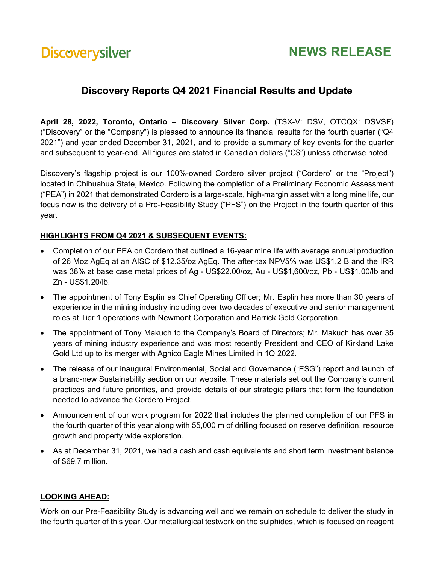# **Discovery Reports Q4 2021 Financial Results and Update**

**April 28, 2022, Toronto, Ontario – Discovery Silver Corp.** (TSX-V: DSV, OTCQX: DSVSF) ("Discovery" or the "Company") is pleased to announce its financial results for the fourth quarter ("Q4 2021") and year ended December 31, 2021, and to provide a summary of key events for the quarter and subsequent to year-end. All figures are stated in Canadian dollars ("C\$") unless otherwise noted.

Discovery's flagship project is our 100%-owned Cordero silver project ("Cordero" or the "Project") located in Chihuahua State, Mexico. Following the completion of a Preliminary Economic Assessment ("PEA") in 2021 that demonstrated Cordero is a large-scale, high-margin asset with a long mine life, our focus now is the delivery of a Pre-Feasibility Study ("PFS") on the Project in the fourth quarter of this year.

# **HIGHLIGHTS FROM Q4 2021 & SUBSEQUENT EVENTS:**

- Completion of our PEA on Cordero that outlined a 16-year mine life with average annual production of 26 Moz AgEq at an AISC of \$12.35/oz AgEq. The after-tax NPV5% was US\$1.2 B and the IRR was 38% at base case metal prices of Ag - US\$22.00/oz, Au - US\$1,600/oz, Pb - US\$1.00/lb and Zn - US\$1.20/lb.
- The appointment of Tony Esplin as Chief Operating Officer; Mr. Esplin has more than 30 years of experience in the mining industry including over two decades of executive and senior management roles at Tier 1 operations with Newmont Corporation and Barrick Gold Corporation.
- The appointment of Tony Makuch to the Company's Board of Directors; Mr. Makuch has over 35 years of mining industry experience and was most recently President and CEO of Kirkland Lake Gold Ltd up to its merger with Agnico Eagle Mines Limited in 1Q 2022.
- The release of our inaugural Environmental, Social and Governance ("ESG") report and launch of a brand-new Sustainability section on our website. These materials set out the Company's current practices and future priorities, and provide details of our strategic pillars that form the foundation needed to advance the Cordero Project.
- Announcement of our work program for 2022 that includes the planned completion of our PFS in the fourth quarter of this year along with 55,000 m of drilling focused on reserve definition, resource growth and property wide exploration.
- As at December 31, 2021, we had a cash and cash equivalents and short term investment balance of \$69.7 million.

# **LOOKING AHEAD:**

Work on our Pre-Feasibility Study is advancing well and we remain on schedule to deliver the study in the fourth quarter of this year. Our metallurgical testwork on the sulphides, which is focused on reagent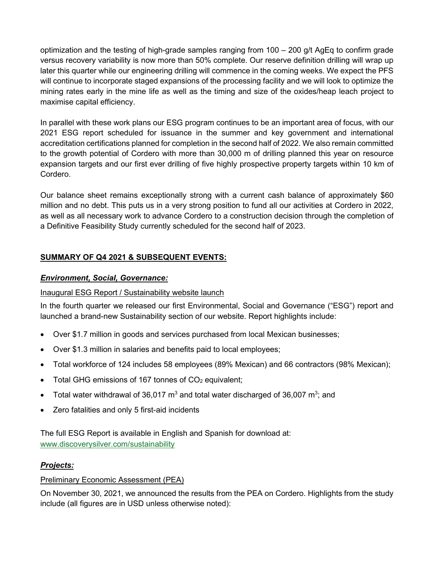optimization and the testing of high-grade samples ranging from 100 – 200 g/t AgEq to confirm grade versus recovery variability is now more than 50% complete. Our reserve definition drilling will wrap up later this quarter while our engineering drilling will commence in the coming weeks. We expect the PFS will continue to incorporate staged expansions of the processing facility and we will look to optimize the mining rates early in the mine life as well as the timing and size of the oxides/heap leach project to maximise capital efficiency.

In parallel with these work plans our ESG program continues to be an important area of focus, with our 2021 ESG report scheduled for issuance in the summer and key government and international accreditation certifications planned for completion in the second half of 2022. We also remain committed to the growth potential of Cordero with more than 30,000 m of drilling planned this year on resource expansion targets and our first ever drilling of five highly prospective property targets within 10 km of Cordero.

Our balance sheet remains exceptionally strong with a current cash balance of approximately \$60 million and no debt. This puts us in a very strong position to fund all our activities at Cordero in 2022, as well as all necessary work to advance Cordero to a construction decision through the completion of a Definitive Feasibility Study currently scheduled for the second half of 2023.

# **SUMMARY OF Q4 2021 & SUBSEQUENT EVENTS:**

#### *Environment, Social, Governance:*

# Inaugural ESG Report / Sustainability website launch

In the fourth quarter we released our first Environmental, Social and Governance ("ESG") report and launched a brand-new Sustainability section of our website. Report highlights include:

- Over \$1.7 million in goods and services purchased from local Mexican businesses;
- Over \$1.3 million in salaries and benefits paid to local employees;
- Total workforce of 124 includes 58 employees (89% Mexican) and 66 contractors (98% Mexican);
- Total GHG emissions of 167 tonnes of  $CO<sub>2</sub>$  equivalent;
- Total water withdrawal of 36,017  $\text{m}^3$  and total water discharged of 36,007  $\text{m}^3$ ; and
- Zero fatalities and only 5 first-aid incidents

The full ESG Report is available in English and Spanish for download at: www.discoverysilver.com/sustainability

# *Projects:*

# Preliminary Economic Assessment (PEA)

On November 30, 2021, we announced the results from the PEA on Cordero. Highlights from the study include (all figures are in USD unless otherwise noted):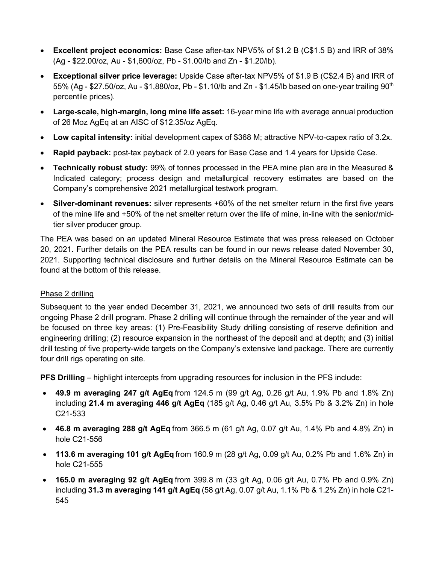- **Excellent project economics:** Base Case after-tax NPV5% of \$1.2 B (C\$1.5 B) and IRR of 38% (Ag - \$22.00/oz, Au - \$1,600/oz, Pb - \$1.00/lb and Zn - \$1.20/lb).
- **Exceptional silver price leverage:** Upside Case after-tax NPV5% of \$1.9 B (C\$2.4 B) and IRR of 55% (Ag - \$27.50/oz, Au - \$1,880/oz, Pb - \$1.10/lb and Zn - \$1.45/lb based on one-year trailing 90th percentile prices).
- **Large-scale, high-margin, long mine life asset:** 16-year mine life with average annual production of 26 Moz AgEq at an AISC of \$12.35/oz AgEq.
- **Low capital intensity:** initial development capex of \$368 M; attractive NPV-to-capex ratio of 3.2x.
- **Rapid payback:** post-tax payback of 2.0 years for Base Case and 1.4 years for Upside Case.
- **Technically robust study:** 99% of tonnes processed in the PEA mine plan are in the Measured & Indicated category; process design and metallurgical recovery estimates are based on the Company's comprehensive 2021 metallurgical testwork program.
- **Silver-dominant revenues:** silver represents +60% of the net smelter return in the first five years of the mine life and +50% of the net smelter return over the life of mine, in-line with the senior/midtier silver producer group.

The PEA was based on an updated Mineral Resource Estimate that was press released on October 20, 2021. Further details on the PEA results can be found in our news release dated November 30, 2021. Supporting technical disclosure and further details on the Mineral Resource Estimate can be found at the bottom of this release.

# Phase 2 drilling

Subsequent to the year ended December 31, 2021, we announced two sets of drill results from our ongoing Phase 2 drill program. Phase 2 drilling will continue through the remainder of the year and will be focused on three key areas: (1) Pre-Feasibility Study drilling consisting of reserve definition and engineering drilling; (2) resource expansion in the northeast of the deposit and at depth; and (3) initial drill testing of five property-wide targets on the Company's extensive land package. There are currently four drill rigs operating on site.

**PFS Drilling** – highlight intercepts from upgrading resources for inclusion in the PFS include:

- **49.9 m averaging 247 g/t AgEq** from 124.5 m (99 g/t Ag, 0.26 g/t Au, 1.9% Pb and 1.8% Zn) including **21.4 m averaging 446 g/t AgEq** (185 g/t Ag, 0.46 g/t Au, 3.5% Pb & 3.2% Zn) in hole C21-533
- **46.8 m averaging 288 g/t AgEq** from 366.5 m (61 g/t Ag, 0.07 g/t Au, 1.4% Pb and 4.8% Zn) in hole C21-556
- **113.6 m averaging 101 g/t AgEq** from 160.9 m (28 g/t Ag, 0.09 g/t Au, 0.2% Pb and 1.6% Zn) in hole C21-555
- **165.0 m averaging 92 g/t AgEq** from 399.8 m (33 g/t Ag, 0.06 g/t Au, 0.7% Pb and 0.9% Zn) including **31.3 m averaging 141 g/t AgEq** (58 g/t Ag, 0.07 g/t Au, 1.1% Pb & 1.2% Zn) in hole C21- 545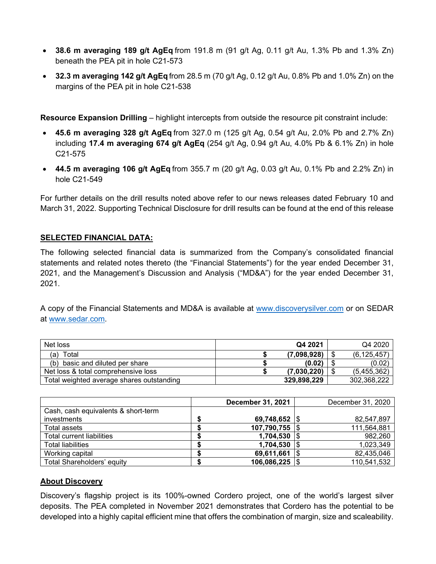- **38.6 m averaging 189 g/t AgEq** from 191.8 m (91 g/t Ag, 0.11 g/t Au, 1.3% Pb and 1.3% Zn) beneath the PEA pit in hole C21-573
- **32.3 m averaging 142 g/t AgEq** from 28.5 m (70 g/t Ag, 0.12 g/t Au, 0.8% Pb and 1.0% Zn) on the margins of the PEA pit in hole C21-538

**Resource Expansion Drilling** *–* highlight intercepts from outside the resource pit constraint include:

- **45.6 m averaging 328 g/t AgEq** from 327.0 m (125 g/t Ag, 0.54 g/t Au, 2.0% Pb and 2.7% Zn) including **17.4 m averaging 674 g/t AgEq** (254 g/t Ag, 0.94 g/t Au, 4.0% Pb & 6.1% Zn) in hole C21-575
- **44.5 m averaging 106 g/t AgEq** from 355.7 m (20 g/t Ag, 0.03 g/t Au, 0.1% Pb and 2.2% Zn) in hole C21-549

For further details on the drill results noted above refer to our news releases dated February 10 and March 31, 2022. Supporting Technical Disclosure for drill results can be found at the end of this release

# **SELECTED FINANCIAL DATA:**

The following selected financial data is summarized from the Company's consolidated financial statements and related notes thereto (the "Financial Statements") for the year ended December 31, 2021, and the Management's Discussion and Analysis ("MD&A") for the year ended December 31, 2021.

A copy of the Financial Statements and MD&A is available at www.discoverysilver.com or on SEDAR at www.sedar.com.

| Net loss                                  | Q4 2021     |   | Q4 2020       |
|-------------------------------------------|-------------|---|---------------|
| Total<br>(a)                              | (7,098,928) |   | (6, 125, 457) |
| (b) basic and diluted per share           | (0.02)      | S | (0.02)        |
| Net loss & total comprehensive loss       | (7,030,220) |   | (5,455,362)   |
| Total weighted average shares outstanding | 329,898,229 |   | 302,368,222   |

|                                     | <b>December 31, 2021</b> |      | December 31, 2020 |
|-------------------------------------|--------------------------|------|-------------------|
| Cash, cash equivalents & short-term |                          |      |                   |
| investments                         | 69,748,652 \$            |      | 82,547,897        |
| Total assets                        | $107,790,755$ \\$        |      | 111,564,881       |
| Total current liabilities           | $1,704,530$ \\$          |      | 982,260           |
| <b>Total liabilities</b>            | 1,704,530                | 1\$  | 1,023,349         |
| Working capital                     | 69,611,661               | l \$ | 82,435,046        |
| <b>Total Shareholders' equity</b>   | 106,086,225 \$           |      | 110,541,532       |

# **About Discovery**

Discovery's flagship project is its 100%-owned Cordero project, one of the world's largest silver deposits. The PEA completed in November 2021 demonstrates that Cordero has the potential to be developed into a highly capital efficient mine that offers the combination of margin, size and scaleability.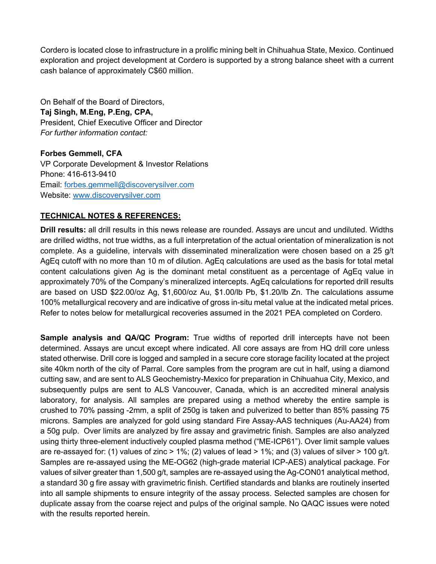Cordero is located close to infrastructure in a prolific mining belt in Chihuahua State, Mexico. Continued exploration and project development at Cordero is supported by a strong balance sheet with a current cash balance of approximately C\$60 million.

On Behalf of the Board of Directors, **Taj Singh, M.Eng, P.Eng, CPA,**  President, Chief Executive Officer and Director *For further information contact:* 

**Forbes Gemmell, CFA** VP Corporate Development & Investor Relations Phone: 416-613-9410 Email: forbes.gemmell@discoverysilver.com Website: www.discoverysilver.com

# **TECHNICAL NOTES & REFERENCES:**

**Drill results:** all drill results in this news release are rounded. Assays are uncut and undiluted. Widths are drilled widths, not true widths, as a full interpretation of the actual orientation of mineralization is not complete. As a guideline, intervals with disseminated mineralization were chosen based on a 25 g/t AgEq cutoff with no more than 10 m of dilution. AgEq calculations are used as the basis for total metal content calculations given Ag is the dominant metal constituent as a percentage of AgEq value in approximately 70% of the Company's mineralized intercepts. AgEq calculations for reported drill results are based on USD \$22.00/oz Ag, \$1,600/oz Au, \$1.00/lb Pb, \$1.20/lb Zn. The calculations assume 100% metallurgical recovery and are indicative of gross in-situ metal value at the indicated metal prices. Refer to notes below for metallurgical recoveries assumed in the 2021 PEA completed on Cordero.

**Sample analysis and QA/QC Program:** True widths of reported drill intercepts have not been determined. Assays are uncut except where indicated. All core assays are from HQ drill core unless stated otherwise. Drill core is logged and sampled in a secure core storage facility located at the project site 40km north of the city of Parral. Core samples from the program are cut in half, using a diamond cutting saw, and are sent to ALS Geochemistry-Mexico for preparation in Chihuahua City, Mexico, and subsequently pulps are sent to ALS Vancouver, Canada, which is an accredited mineral analysis laboratory, for analysis. All samples are prepared using a method whereby the entire sample is crushed to 70% passing -2mm, a split of 250g is taken and pulverized to better than 85% passing 75 microns. Samples are analyzed for gold using standard Fire Assay-AAS techniques (Au-AA24) from a 50g pulp. Over limits are analyzed by fire assay and gravimetric finish. Samples are also analyzed using thirty three-element inductively coupled plasma method ("ME-ICP61"). Over limit sample values are re-assayed for: (1) values of zinc  $> 1\%$ ; (2) values of lead  $> 1\%$ ; and (3) values of silver  $> 100$  g/t. Samples are re-assayed using the ME-OG62 (high-grade material ICP-AES) analytical package. For values of silver greater than 1,500 g/t, samples are re-assayed using the Ag-CON01 analytical method, a standard 30 g fire assay with gravimetric finish. Certified standards and blanks are routinely inserted into all sample shipments to ensure integrity of the assay process. Selected samples are chosen for duplicate assay from the coarse reject and pulps of the original sample. No QAQC issues were noted with the results reported herein.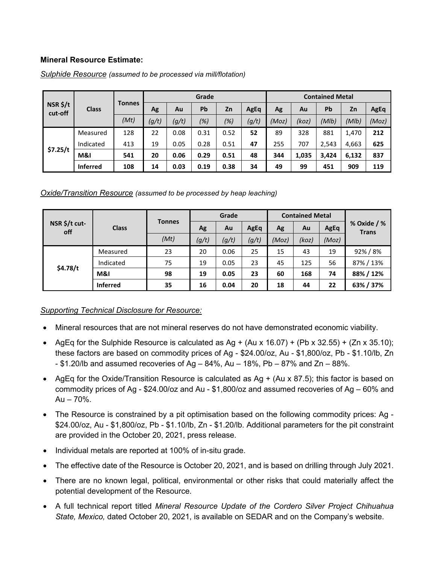#### **Mineral Resource Estimate:**

| NSR \$/t<br>cut-off | <b>Class</b>    | <b>Tonnes</b> | Grade |       |      |      |       | <b>Contained Metal</b> |       |       |       |       |
|---------------------|-----------------|---------------|-------|-------|------|------|-------|------------------------|-------|-------|-------|-------|
|                     |                 |               | Ag    | Au    | Pb   | Zn   | AgEq  | Ag                     | Au    | Pb    | Zn    | AgEq  |
|                     |                 | (Mt)          | (g/t) | (g/t) | (%)  | (%)  | (g/t) | (Moz)                  | (koz) | (MIb) | (MIb) | (Moz) |
| \$7.25/t            | Measured        | 128           | 22    | 0.08  | 0.31 | 0.52 | 52    | 89                     | 328   | 881   | 1,470 | 212   |
|                     | Indicated       | 413           | 19    | 0.05  | 0.28 | 0.51 | 47    | 255                    | 707   | 2,543 | 4,663 | 625   |
|                     | M&I             | 541           | 20    | 0.06  | 0.29 | 0.51 | 48    | 344                    | 1,035 | 3,424 | 6,132 | 837   |
|                     | <b>Inferred</b> | 108           | 14    | 0.03  | 0.19 | 0.38 | 34    | 49                     | 99    | 451   | 909   | 119   |

#### *Sulphide Resource (assumed to be processed via mill/flotation)*

*Oxide/Transition Resource (assumed to be processed by heap leaching)*

| NSR \$/t cut-<br>off | <b>Class</b>    | <b>Tonnes</b> | Grade |       |       | <b>Contained Metal</b> |       |       |                             |  |
|----------------------|-----------------|---------------|-------|-------|-------|------------------------|-------|-------|-----------------------------|--|
|                      |                 |               | Ag    | Au    | AgEq  | Ag                     | Au    | AgEq  | % Oxide / %<br><b>Trans</b> |  |
|                      |                 | (Mt)          | (g/t) | (g/t) | (g/t) | (Moz)                  | (koz) | (Moz) |                             |  |
| \$4.78/t             | Measured        | 23            | 20    | 0.06  | 25    | 15                     | 43    | 19    | 92%/8%                      |  |
|                      | Indicated       | 75            | 19    | 0.05  | 23    | 45                     | 125   | 56    | 87% / 13%                   |  |
|                      | M&I             | 98            | 19    | 0.05  | 23    | 60                     | 168   | 74    | 88% / 12%                   |  |
|                      | <b>Inferred</b> | 35            | 16    | 0.04  | 20    | 18                     | 44    | 22    | 63% / 37%                   |  |

#### *Supporting Technical Disclosure for Resource:*

- Mineral resources that are not mineral reserves do not have demonstrated economic viability.
- AgEq for the Sulphide Resource is calculated as  $Aq + (Au \times 16.07) + (Pb \times 32.55) + (Zn \times 35.10)$ ; these factors are based on commodity prices of Ag - \$24.00/oz, Au - \$1,800/oz, Pb - \$1.10/lb, Zn  $-$  \$1.20/lb and assumed recoveries of Ag  $-$  84%, Au  $-$  18%, Pb  $-$  87% and Zn  $-$  88%.
- AgEq for the Oxide/Transition Resource is calculated as Ag + (Au x 87.5); this factor is based on commodity prices of Ag - \$24.00/oz and Au - \$1,800/oz and assumed recoveries of Ag – 60% and  $Au - 70%$ .
- The Resource is constrained by a pit optimisation based on the following commodity prices: Ag \$24.00/oz, Au - \$1,800/oz, Pb - \$1.10/lb, Zn - \$1.20/lb. Additional parameters for the pit constraint are provided in the October 20, 2021, press release.
- Individual metals are reported at 100% of in-situ grade.
- The effective date of the Resource is October 20, 2021, and is based on drilling through July 2021.
- There are no known legal, political, environmental or other risks that could materially affect the potential development of the Resource.
- A full technical report titled *Mineral Resource Update of the Cordero Silver Project Chihuahua State, Mexico,* dated October 20, 2021, is available on SEDAR and on the Company's website.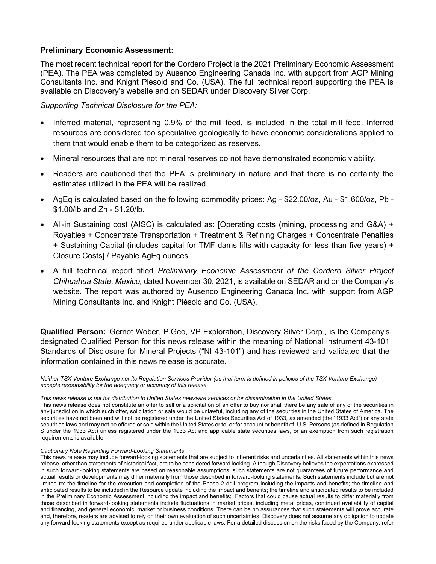#### **Preliminary Economic Assessment:**

The most recent technical report for the Cordero Project is the 2021 Preliminary Economic Assessment (PEA). The PEA was completed by Ausenco Engineering Canada Inc. with support from AGP Mining Consultants Inc. and Knight Piésold and Co. (USA). The full technical report supporting the PEA is available on Discovery's website and on SEDAR under Discovery Silver Corp.

#### *Supporting Technical Disclosure for the PEA:*

- Inferred material, representing 0.9% of the mill feed, is included in the total mill feed. Inferred resources are considered too speculative geologically to have economic considerations applied to them that would enable them to be categorized as reserves.
- Mineral resources that are not mineral reserves do not have demonstrated economic viability.
- Readers are cautioned that the PEA is preliminary in nature and that there is no certainty the estimates utilized in the PEA will be realized.
- AgEq is calculated based on the following commodity prices: Ag \$22.00/oz, Au \$1,600/oz, Pb \$1.00/lb and Zn - \$1.20/lb.
- All-in Sustaining cost (AISC) is calculated as: [Operating costs (mining, processing and G&A) + Royalties + Concentrate Transportation + Treatment & Refining Charges + Concentrate Penalties + Sustaining Capital (includes capital for TMF dams lifts with capacity for less than five years) + Closure Costs] / Payable AgEq ounces
- A full technical report titled *Preliminary Economic Assessment of the Cordero Silver Project Chihuahua State, Mexico,* dated November 30, 2021, is available on SEDAR and on the Company's website. The report was authored by Ausenco Engineering Canada Inc. with support from AGP Mining Consultants Inc. and Knight Piésold and Co. (USA).

**Qualified Person:** Gernot Wober, P.Geo, VP Exploration, Discovery Silver Corp., is the Company's designated Qualified Person for this news release within the meaning of National Instrument 43-101 Standards of Disclosure for Mineral Projects ("NI 43-101") and has reviewed and validated that the information contained in this news release is accurate.

*Neither TSX Venture Exchange nor its Regulation Services Provider (as that term is defined in policies of the TSX Venture Exchange) accepts responsibility for the adequacy or accuracy of this release.* 

*This news release is not for distribution to United States newswire services or for dissemination in the United States.*

This news release does not constitute an offer to sell or a solicitation of an offer to buy nor shall there be any sale of any of the securities in any jurisdiction in which such offer, solicitation or sale would be unlawful, including any of the securities in the United States of America. The securities have not been and will not be registered under the United States Securities Act of 1933, as amended (the "1933 Act") or any state securities laws and may not be offered or sold within the United States or to, or for account or benefit of, U.S. Persons (as defined in Regulation S under the 1933 Act) unless registered under the 1933 Act and applicable state securities laws, or an exemption from such registration requirements is available.

#### *Cautionary Note Regarding Forward-Looking Statements*

This news release may include forward-looking statements that are subject to inherent risks and uncertainties. All statements within this news release, other than statements of historical fact, are to be considered forward looking. Although Discovery believes the expectations expressed in such forward-looking statements are based on reasonable assumptions, such statements are not guarantees of future performance and actual results or developments may differ materially from those described in forward-looking statements. Such statements include but are not limited to: the timeline for the execution and completion of the Phase 2 drill program including the impacts and benefits; the timeline and anticipated results to be included in the Resource update including the impact and benefits; the timeline and anticipated results to be included in the Preliminary Economic Assessment including the impact and benefits; Factors that could cause actual results to differ materially from those described in forward-looking statements include fluctuations in market prices, including metal prices, continued availability of capital and financing, and general economic, market or business conditions. There can be no assurances that such statements will prove accurate and, therefore, readers are advised to rely on their own evaluation of such uncertainties. Discovery does not assume any obligation to update any forward-looking statements except as required under applicable laws. For a detailed discussion on the risks faced by the Company, refer